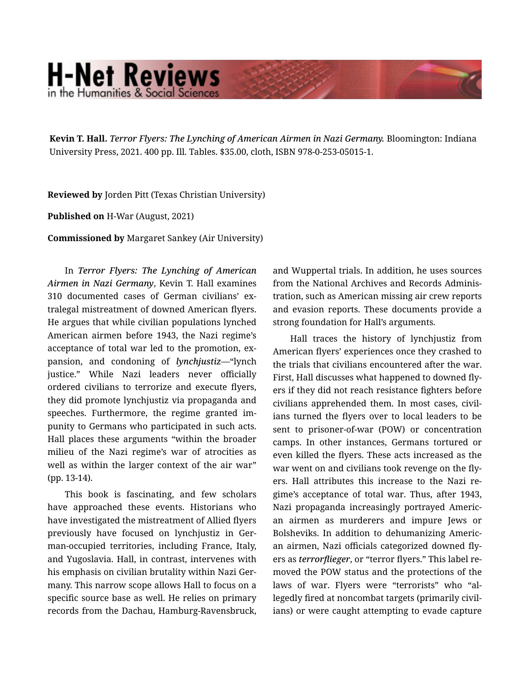## **H-Net Reviews** in the Humanities & Social Scienc

Kevin T. Hall. *Terror Flyers: The Lynching of American Airmen in Nazi Germany.* Bloomington: Indiana University Press, 2021. 400 pp. Ill. Tables. \$35.00, cloth, ISBN 978-0-253-05015-1.

Reviewed by Jorden Pitt (Texas Christian University)

Published on H-War (August, 2021)

Commissioned by Margaret Sankey (Air University)

In *Terror Flyers: The Lynching of American Airmen in Nazi Germany*, Kevin T. Hall examines 310 documented cases of German civilians' ex‐ tralegal mistreatment of downed American flyers. He argues that while civilian populations lynched American airmen before 1943, the Nazi regime's acceptance of total war led to the promotion, ex‐ pansion, and condoning of *lynchjustiz*—"lynch justice." While Nazi leaders never officially ordered civilians to terrorize and execute flyers, they did promote lynchjustiz via propaganda and speeches. Furthermore, the regime granted im‐ punity to Germans who participated in such acts. Hall places these arguments "within the broader milieu of the Nazi regime's war of atrocities as well as within the larger context of the air war" (pp. 13-14).

This book is fascinating, and few scholars have approached these events. Historians who have investigated the mistreatment of Allied flyers previously have focused on lynchjustiz in Ger‐ man-occupied territories, including France, Italy, and Yugoslavia. Hall, in contrast, intervenes with his emphasis on civilian brutality within Nazi Ger‐ many. This narrow scope allows Hall to focus on a specific source base as well. He relies on primary records from the Dachau, Hamburg-Ravensbruck,

and Wuppertal trials. In addition, he uses sources from the National Archives and Records Adminis‐ tration, such as American missing air crew reports and evasion reports. These documents provide a strong foundation for Hall's arguments.

Hall traces the history of lynchjustiz from American flyers' experiences once they crashed to the trials that civilians encountered after the war. First, Hall discusses what happened to downed fly‐ ers if they did not reach resistance fighters before civilians apprehended them. In most cases, civil‐ ians turned the flyers over to local leaders to be sent to prisoner-of-war (POW) or concentration camps. In other instances, Germans tortured or even killed the flyers. These acts increased as the war went on and civilians took revenge on the fly‐ ers. Hall attributes this increase to the Nazi re‐ gime's acceptance of total war. Thus, after 1943, Nazi propaganda increasingly portrayed Americ‐ an airmen as murderers and impure Jews or Bolsheviks. In addition to dehumanizing Americ‐ an airmen, Nazi officials categorized downed fly‐ ers as *terrorflieger*, or "terror flyers." This label re‐ moved the POW status and the protections of the laws of war. Flyers were "terrorists" who "allegedly fired at noncombat targets (primarily civil‐ ians) or were caught attempting to evade capture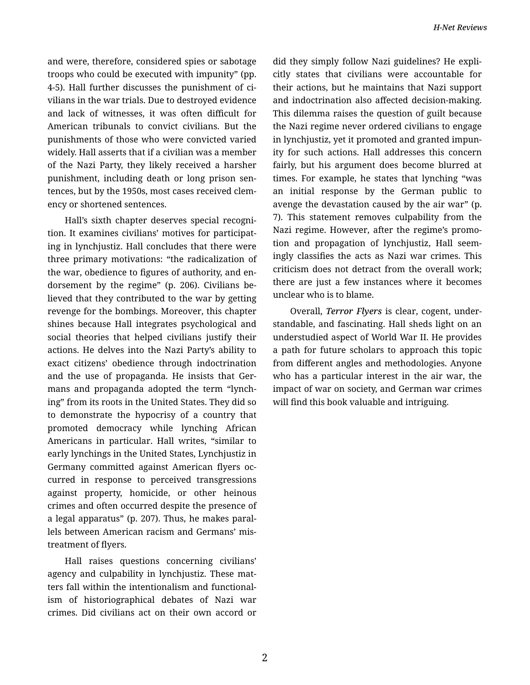and were, therefore, considered spies or sabotage troops who could be executed with impunity" (pp. 4-5). Hall further discusses the punishment of ci‐ vilians in the war trials. Due to destroyed evidence and lack of witnesses, it was often difficult for American tribunals to convict civilians. But the punishments of those who were convicted varied widely. Hall asserts that if a civilian was a member of the Nazi Party, they likely received a harsher punishment, including death or long prison sentences, but by the 1950s, most cases received clem‐ ency or shortened sentences.

Hall's sixth chapter deserves special recogni‐ tion. It examines civilians' motives for participat‐ ing in lynchjustiz. Hall concludes that there were three primary motivations: "the radicalization of the war, obedience to figures of authority, and en‐ dorsement by the regime" (p. 206). Civilians be‐ lieved that they contributed to the war by getting revenge for the bombings. Moreover, this chapter shines because Hall integrates psychological and social theories that helped civilians justify their actions. He delves into the Nazi Party's ability to exact citizens' obedience through indoctrination and the use of propaganda. He insists that Ger‐ mans and propaganda adopted the term "lynch‐ ing" from its roots in the United States. They did so to demonstrate the hypocrisy of a country that promoted democracy while lynching African Americans in particular. Hall writes, "similar to early lynchings in the United States, Lynchjustiz in Germany committed against American flyers oc‐ curred in response to perceived transgressions against property, homicide, or other heinous crimes and often occurred despite the presence of a legal apparatus" (p. 207). Thus, he makes paral‐ lels between American racism and Germans' mis‐ treatment of flyers.

Hall raises questions concerning civilians' agency and culpability in lynchjustiz. These mat‐ ters fall within the intentionalism and functional‐ ism of historiographical debates of Nazi war crimes. Did civilians act on their own accord or

did they simply follow Nazi guidelines? He expli‐ citly states that civilians were accountable for their actions, but he maintains that Nazi support and indoctrination also affected decision-making. This dilemma raises the question of guilt because the Nazi regime never ordered civilians to engage in lynchjustiz, yet it promoted and granted impun‐ ity for such actions. Hall addresses this concern fairly, but his argument does become blurred at times. For example, he states that lynching "was an initial response by the German public to avenge the devastation caused by the air war" (p. 7). This statement removes culpability from the Nazi regime. However, after the regime's promo‐ tion and propagation of lynchjustiz, Hall seem‐ ingly classifies the acts as Nazi war crimes. This criticism does not detract from the overall work; there are just a few instances where it becomes unclear who is to blame.

Overall, *Terror Flyers* is clear, cogent, under‐ standable, and fascinating. Hall sheds light on an understudied aspect of World War II. He provides a path for future scholars to approach this topic from different angles and methodologies. Anyone who has a particular interest in the air war, the impact of war on society, and German war crimes will find this book valuable and intriguing.